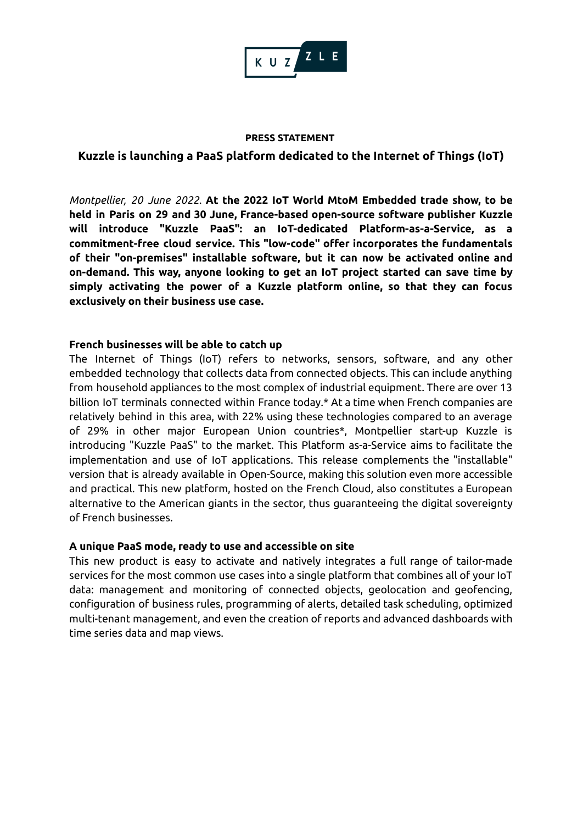

#### **PRESS STATEMENT**

# **Kuzzle is launching a PaaS platform dedicated to the Internet of Things (IoT)**

*Montpellier, 20 June 2022*. **At the 2022 IoT World MtoM Embedded trade show, to be held in Paris on 29 and 30 June, France-based open-source software publisher Kuzzle will introduce "Kuzzle PaaS": an IoT-dedicated Platform-as-a-Service, as a commitment-free cloud service. This "low-code" offer incorporates the fundamentals of their "on-premises" installable software, but it can now be activated online and on-demand. This way, anyone looking to get an IoT project started can save time by simply activating the power of a Kuzzle platform online, so that they can focus exclusively on their business use case.**

## **French businesses will be able to catch up**

The Internet of Things (IoT) refers to networks, sensors, software, and any other embedded technology that collects data from connected objects. This can include anything from household appliances to the most complex of industrial equipment. There are over 13 billion IoT terminals connected within France today.\* At a time when French companies are relatively behind in this area, with 22% using these technologies compared to an average of 29% in other major European Union countries\*, Montpellier start-up Kuzzle is introducing "Kuzzle PaaS" to the market. This Platform as-a-Service aims to facilitate the implementation and use of IoT applications. This release complements the "installable" version that is already available in Open-Source, making this solution even more accessible and practical. This new platform, hosted on the French Cloud, also constitutes a European alternative to the American giants in the sector, thus guaranteeing the digital sovereignty of French businesses.

## **A unique PaaS mode, ready to use and accessible on site**

This new product is easy to activate and natively integrates a full range of tailor-made services for the most common use cases into a single platform that combines all of your IoT data: management and monitoring of connected objects, geolocation and geofencing, configuration of business rules, programming of alerts, detailed task scheduling, optimized multi-tenant management, and even the creation of reports and advanced dashboards with time series data and map views.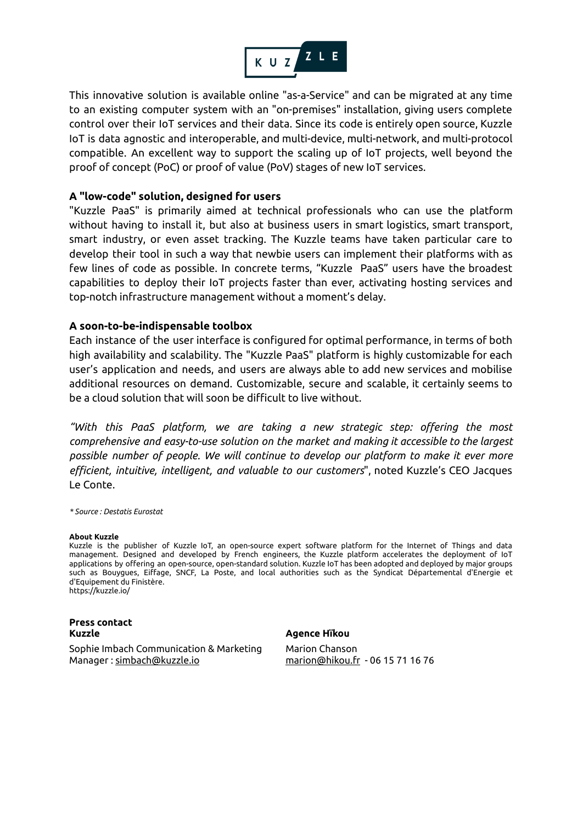

This innovative solution is available online "as-a-Service" and can be migrated at any time to an existing computer system with an "on-premises" installation, giving users complete control over their IoT services and their data. Since its code is entirely open source, Kuzzle IoT is data agnostic and interoperable, and multi-device, multi-network, and multi-protocol compatible. An excellent way to support the scaling up of IoT projects, well beyond the proof of concept (PoC) or proof of value (PoV) stages of new IoT services.

## **A "low-code" solution, designed for users**

"Kuzzle PaaS" is primarily aimed at technical professionals who can use the platform without having to install it, but also at business users in smart logistics, smart transport, smart industry, or even asset tracking. The Kuzzle teams have taken particular care to develop their tool in such a way that newbie users can implement their platforms with as few lines of code as possible. In concrete terms, "Kuzzle PaaS" users have the broadest capabilities to deploy their IoT projects faster than ever, activating hosting services and top-notch infrastructure management without a moment's delay.

## **A soon-to-be-indispensable toolbox**

Each instance of the user interface is configured for optimal performance, in terms of both high availability and scalability. The "Kuzzle PaaS" platform is highly customizable for each user's application and needs, and users are always able to add new services and mobilise additional resources on demand. Customizable, secure and scalable, it certainly seems to be a cloud solution that will soon be difficult to live without.

*"With this PaaS platform, we are taking a new strategic step: offering the most comprehensive and easy-to-use solution on the market and making it accessible to the largest possible number of people. We will continue to develop our platform to make it ever more efficient, intuitive, intelligent, and valuable to our customers*", noted Kuzzle's CEO Jacques Le Conte.

*\* Source : Destatis Eurostat*

#### **About Kuzzle**

Kuzzle is the publisher of Kuzzle IoT, an open-source expert software platform for the Internet of Things and data management. Designed and developed by French engineers, the Kuzzle platform accelerates the deployment of IoT applications by offering an open-source, open-standard solution. Kuzzle IoT has been adopted and deployed by major groups such as Bouygues, Eiffage, SNCF, La Poste, and local authorities such as the Syndicat Départemental d'Energie et d'Equipement du Finistère. https://kuzzle.io/

#### **Press contact Kuzzle Agence Hïkou**

Sophie Imbach Communication & Marketing Manager : [simbach@kuzzle.io](mailto:simbach@kuzzle.io)

Marion Chanson [marion@hikou.fr](mailto:marion@hikou.fr) - 06 15 71 16 76